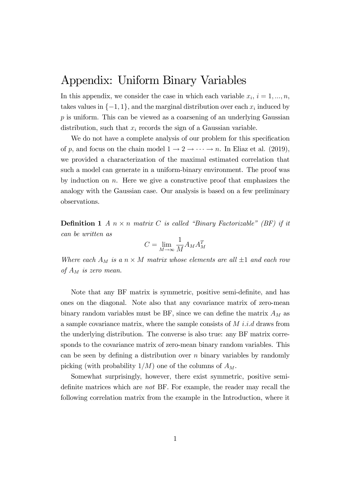## Appendix: Uniform Binary Variables

In this appendix, we consider the case in which each variable  $x_i$ ,  $i = 1, ..., n$ , takes values in  $\{-1, 1\}$ , and the marginal distribution over each  $x_i$  induced by p is uniform. This can be viewed as a coarsening of an underlying Gaussian distribution, such that  $x_i$  records the sign of a Gaussian variable.

We do not have a complete analysis of our problem for this specification of p, and focus on the chain model  $1 \rightarrow 2 \rightarrow \cdots \rightarrow n$ . In Eliaz et al. (2019), we provided a characterization of the maximal estimated correlation that such a model can generate in a uniform-binary environment. The proof was by induction on  $n$ . Here we give a constructive proof that emphasizes the analogy with the Gaussian case. Our analysis is based on a few preliminary observations.

**Definition 1** A  $n \times n$  matrix C is called "Binary Factorizable" (BF) if it can be written as

$$
C = \lim_{M \to \infty} \frac{1}{M} A_M A_M^T
$$

Where each  $A_M$  is a  $n \times M$  matrix whose elements are all  $\pm 1$  and each row of  $A_M$  is zero mean.

Note that any BF matrix is symmetric, positive semi-definite, and has ones on the diagonal. Note also that any covariance matrix of zero-mean binary random variables must be BF, since we can define the matrix  $A_M$  as a sample covariance matrix, where the sample consists of  $M$  i.i.d draws from the underlying distribution. The converse is also true: any BF matrix corresponds to the covariance matrix of zero-mean binary random variables. This can be seen by defining a distribution over  $n$  binary variables by randomly picking (with probability  $1/M$ ) one of the columns of  $A_M$ .

Somewhat surprisingly, however, there exist symmetric, positive semidefinite matrices which are *not* BF. For example, the reader may recall the following correlation matrix from the example in the Introduction, where it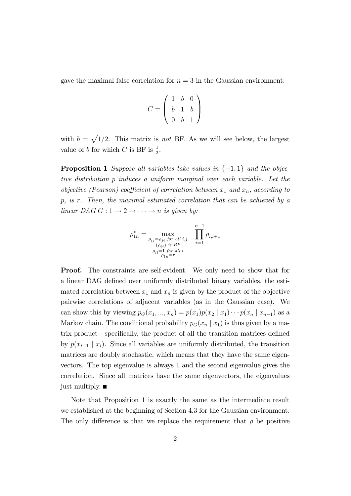gave the maximal false correlation for  $n = 3$  in the Gaussian environment:

$$
C = \left(\begin{array}{rrr} 1 & b & 0 \\ b & 1 & b \\ 0 & b & 1 \end{array}\right)
$$

with  $b = \sqrt{1/2}$ . This matrix is not BF. As we will see below, the largest value of b for which C is BF is  $\frac{1}{2}$ .

**Proposition 1** Suppose all variables take values in  $\{-1, 1\}$  and the objective distribution p induces a uniform marginal over each variable. Let the objective (Pearson) coefficient of correlation between  $x_1$  and  $x_n$ , according to p, is r. Then, the maximal estimated correlation that can be achieved by a linear DAG  $G: 1 \rightarrow 2 \rightarrow \cdots \rightarrow n$  is given by:

$$
\rho_{1n}^{*} = \max_{\substack{\rho_{ij} = \rho_{ji} \text{ for all } i,j \\ (\rho_{ij}) \text{ is } BF \\ \rho_{ii} = 1 \text{ for all } i \\ \rho_{1n} = r}} \prod_{i=1}^{n-1} \rho_{i,i+1}
$$

Proof. The constraints are self-evident. We only need to show that for a linear DAG defined over uniformly distributed binary variables, the estimated correlation between  $x_1$  and  $x_n$  is given by the product of the objective pairwise correlations of adjacent variables (as in the Gaussian case). We can show this by viewing  $p_G(x_1, ..., x_n) = p(x_1)p(x_2 | x_1) \cdots p(x_n | x_{n-1})$  as a Markov chain. The conditional probability  $p_G(x_n | x_1)$  is thus given by a matrix product - specifically, the product of all the transition matrices defined by  $p(x_{i+1} | x_i)$ . Since all variables are uniformly distributed, the transition matrices are doubly stochastic, which means that they have the same eigenvectors. The top eigenvalue is always 1 and the second eigenvalue gives the correlation. Since all matrices have the same eigenvectors, the eigenvalues just multiply.  $\blacksquare$ 

Note that Proposition 1 is exactly the same as the intermediate result we established at the beginning of Section 4.3 for the Gaussian environment. The only difference is that we replace the requirement that  $\rho$  be positive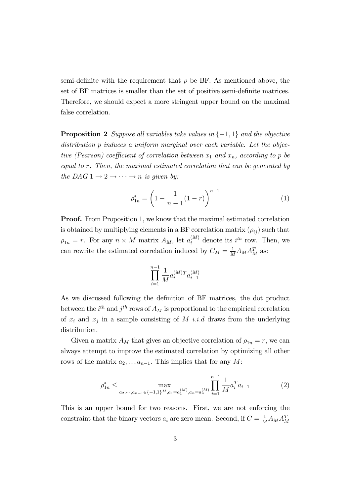semi-definite with the requirement that  $\rho$  be BF. As mentioned above, the set of BF matrices is smaller than the set of positive semi-definite matrices. Therefore, we should expect a more stringent upper bound on the maximal false correlation.

**Proposition 2** Suppose all variables take values in  $\{-1, 1\}$  and the objective distribution p induces a uniform marginal over each variable. Let the objective (Pearson) coefficient of correlation between  $x_1$  and  $x_n$ , according to p be equal to r. Then, the maximal estimated correlation that can be generated by the DAG  $1 \rightarrow 2 \rightarrow \cdots \rightarrow n$  is given by:

$$
\rho_{1n}^* = \left(1 - \frac{1}{n-1}(1-r)\right)^{n-1} \tag{1}
$$

**Proof.** From Proposition 1, we know that the maximal estimated correlation is obtained by multiplying elements in a BF correlation matrix  $(\rho_{ij})$  such that  $\rho_{1n} = r$ . For any  $n \times M$  matrix  $A_M$ , let  $a_i^{(M)}$  denote its  $i^{th}$  row. Then, we can rewrite the estimated correlation induced by  $C_M = \frac{1}{M} A_M A_M^T$  as:

$$
\prod_{i=1}^{n-1} \frac{1}{M} a_i^{(M)} {^{T}a_{i+1}^{(M)}}
$$

As we discussed following the definition of BF matrices, the dot product between the  $i^{th}$  and  $j^{th}$  rows of  $A_M$  is proportional to the empirical correlation of  $x_i$  and  $x_j$  in a sample consisting of M i.i.d draws from the underlying distribution.

Given a matrix  $A_M$  that gives an objective correlation of  $\rho_{1n} = r$ , we can always attempt to improve the estimated correlation by optimizing all other rows of the matrix  $a_2, ..., a_{n-1}$ . This implies that for any M:

$$
\rho_{1n}^* \le \max_{a_2, \cdots, a_{n-1} \in \{-1, 1\}^M, a_1 = a_1^{(M)}, a_n = a_n^{(M)}} \prod_{i=1}^{n-1} \frac{1}{M} a_i^T a_{i+1} \tag{2}
$$

This is an upper bound for two reasons. First, we are not enforcing the constraint that the binary vectors  $a_i$  are zero mean. Second, if  $C = \frac{1}{M} A_M A_M^T$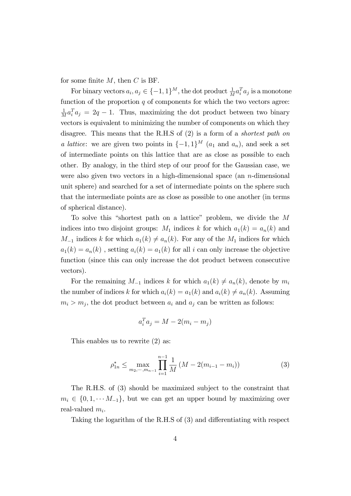for some finite  $M$ , then  $C$  is BF.

For binary vectors  $a_i, a_j \in \{-1, 1\}^M$ , the dot product  $\frac{1}{M} a_i^T a_j$  is a monotone function of the proportion  $\boldsymbol{q}$  of components for which the two vectors agree: 1  $\frac{1}{M}a_i^T a_j = 2q - 1$ . Thus, maximizing the dot product between two binary vectors is equivalent to minimizing the number of components on which they disagree. This means that the R.H.S of (2) is a form of a *shortest path on a lattice*: we are given two points in  $\{-1, 1\}^M$   $(a_1 \text{ and } a_n)$ , and seek a set of intermediate points on this lattice that are as close as possible to each other. By analogy, in the third step of our proof for the Gaussian case, we were also given two vectors in a high-dimensional space (an  $n$ -dimensional unit sphere) and searched for a set of intermediate points on the sphere such that the intermediate points are as close as possible to one another (in terms of spherical distance).

To solve this "shortest path on a lattice" problem, we divide the  $M$ indices into two disjoint groups:  $M_1$  indices k for which  $a_1(k) = a_n(k)$  and  $M_{-1}$  indices k for which  $a_1(k) \neq a_n(k)$ . For any of the  $M_1$  indices for which  $a_1(k) = a_n(k)$ , setting  $a_i(k) = a_1(k)$  for all i can only increase the objective function (since this can only increase the dot product between consecutive vectors).

For the remaining  $M_{-1}$  indices k for which  $a_1(k) \neq a_n(k)$ , denote by  $m_i$ the number of indices k for which  $a_i(k) = a_1(k)$  and  $a_i(k) \neq a_n(k)$ . Assuming  $m_i > m_j$ , the dot product between  $a_i$  and  $a_j$  can be written as follows:

$$
a_i^T a_j = M - 2(m_i - m_j)
$$

This enables us to rewrite (2) as:

$$
\rho_{1n}^* \le \max_{m_2, \cdots, m_{n-1}} \prod_{i=1}^{n-1} \frac{1}{M} \left( M - 2(m_{i-1} - m_i) \right) \tag{3}
$$

The R.H.S. of (3) should be maximized subject to the constraint that  $m_i \in \{0, 1, \dots M_{-1}\}\$ , but we can get an upper bound by maximizing over real-valued  $m_i$ .

Taking the logarithm of the R.H.S of (3) and differentiating with respect